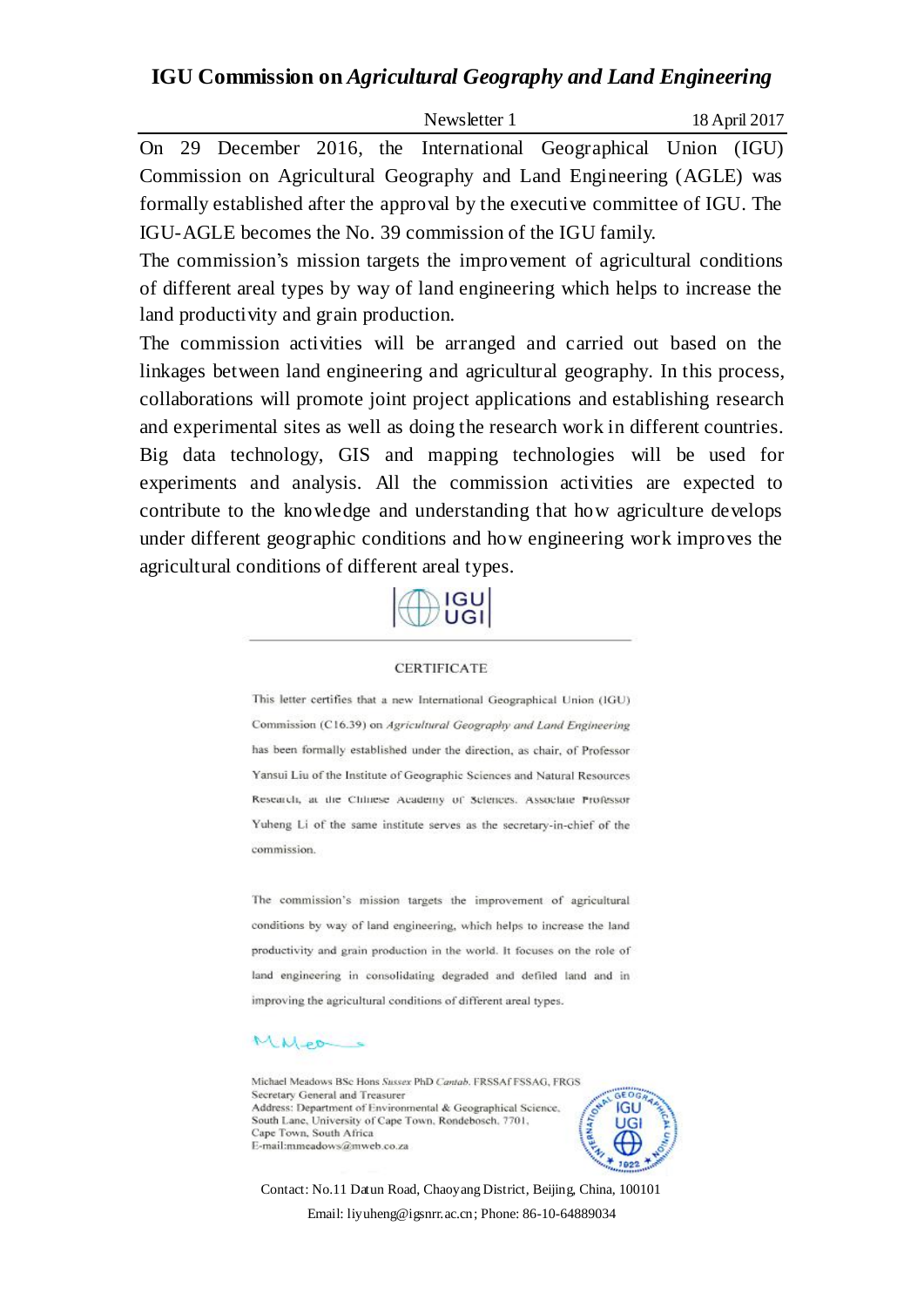## **IGU Commission on** *Agricultural Geography and Land Engineering*

Newsletter 1 18 April 2017

On 29 December 2016, the International Geographical Union (IGU) Commission on Agricultural Geography and Land Engineering (AGLE) was formally established after the approval by the executive committee of IGU. The IGU-AGLE becomes the No. 39 commission of the IGU family.

The commission's mission targets the improvement of agricultural conditions of different areal types by way of land engineering which helps to increase the land productivity and grain production.

The commission activities will be arranged and carried out based on the linkages between land engineering and agricultural geography. In this process, collaborations will promote joint project applications and establishing research and experimental sites as well as doing the research work in different countries. Big data technology, GIS and mapping technologies will be used for experiments and analysis. All the commission activities are expected to contribute to the knowledge and understanding that how agriculture develops under different geographic conditions and how engineering work improves the agricultural conditions of different areal types.

**IGU** UGI

## **CERTIFICATE**

This letter certifies that a new International Geographical Union (IGU) Commission (C16.39) on Agricultural Geography and Land Engineering has been formally established under the direction, as chair, of Professor Yansui Liu of the Institute of Geographic Sciences and Natural Resources Research, at the Chinese Academy of Sciences. Associate Professor Yuheng Li of the same institute serves as the secretary-in-chief of the commission

The commission's mission targets the improvement of agricultural conditions by way of land engineering, which helps to increase the land productivity and grain production in the world. It focuses on the role of land engineering in consolidating degraded and defiled land and in improving the agricultural conditions of different areal types.

## MNPC

Michael Meadows BSc Hons Sussex PhD Cantab. FRSSAf FSSAG, FRGS Secretary General and Treasurer Address: Department of Environmental & Geographical Science, South Lane, University of Cape Town, Rondebosch, 7701, Cape Town, South Africa E-mail:mmeadows@mweb.co.za



Contact: No.11 Datun Road, Chaoyang District, Beijing, China, 100101 Email: liyuheng@igsnrr.ac.cn; Phone: 86-10-64889034